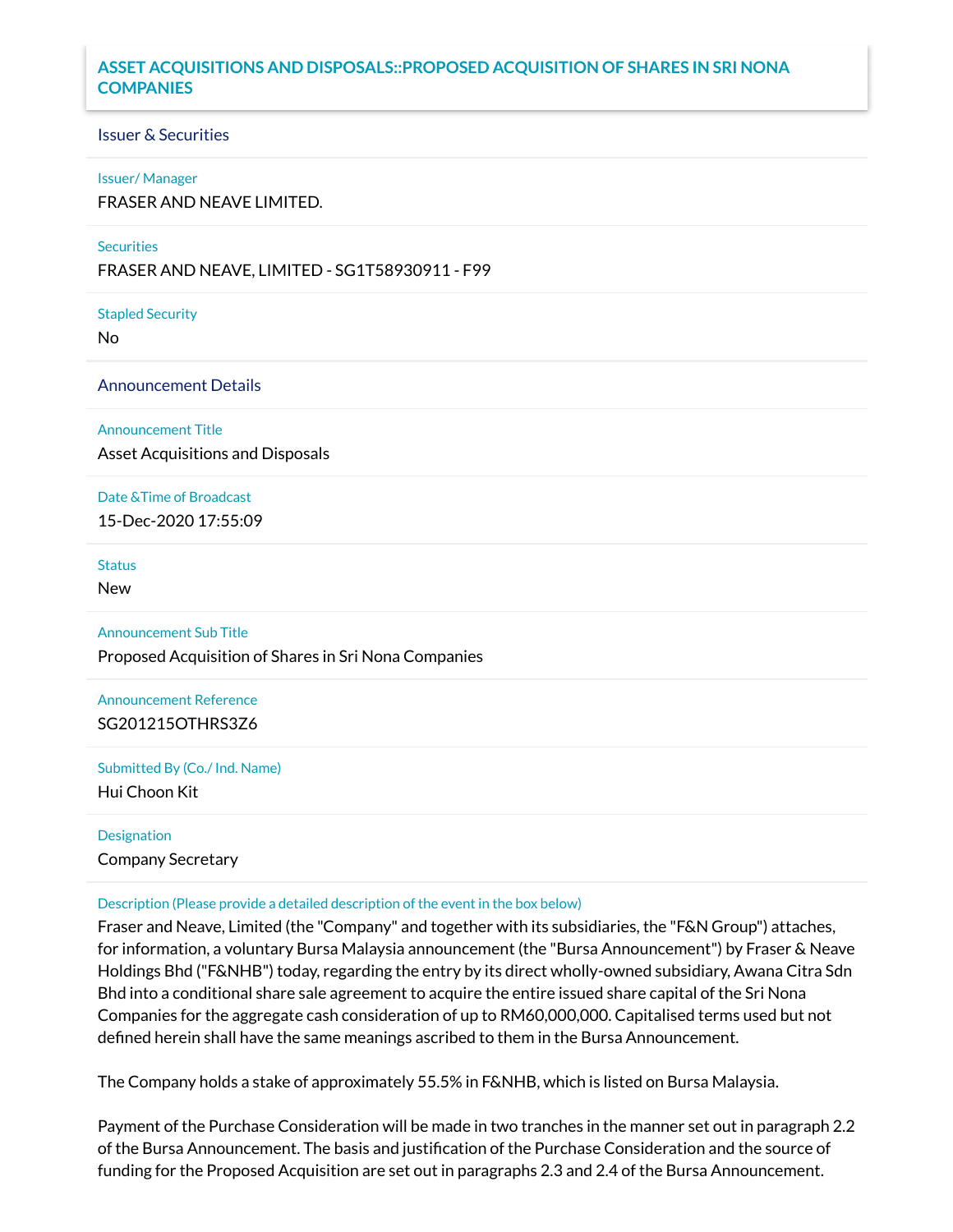# **ASSET ACQUISITIONS AND DISPOSALS::PROPOSED ACQUISITION OF SHARES IN SRI NONA COMPANIES**

## Issuer & Securities

#### Issuer/ Manager

FRASER AND NEAVE LIMITED.

## **Securities**

FRASER AND NEAVE, LIMITED - SG1T58930911 - F99

Stapled Security

No

## Announcement Details

Announcement Title

Asset Acquisitions and Disposals

## Date &Time of Broadcast

15-Dec-2020 17:55:09

# **Status**

New

## Announcement Sub Title

Proposed Acquisition of Shares in Sri Nona Companies

Announcement Reference SG201215OTHRS3Z6

Submitted By (Co./ Ind. Name) Hui Choon Kit

# Designation

Company Secretary

## Description (Please provide a detailed description of the event in the box below)

Fraser and Neave, Limited (the "Company" and together with its subsidiaries, the "F&N Group") attaches, for information, a voluntary Bursa Malaysia announcement (the "Bursa Announcement") by Fraser & Neave Holdings Bhd ("F&NHB") today, regarding the entry by its direct wholly-owned subsidiary, Awana Citra Sdn Bhd into a conditional share sale agreement to acquire the entire issued share capital of the Sri Nona Companies for the aggregate cash consideration of up to RM60,000,000. Capitalised terms used but not defined herein shall have the same meanings ascribed to them in the Bursa Announcement.

The Company holds a stake of approximately 55.5% in F&NHB, which is listed on Bursa Malaysia.

Payment of the Purchase Consideration will be made in two tranches in the manner set out in paragraph 2.2 of the Bursa Announcement. The basis and justification of the Purchase Consideration and the source of funding for the Proposed Acquisition are set out in paragraphs 2.3 and 2.4 of the Bursa Announcement.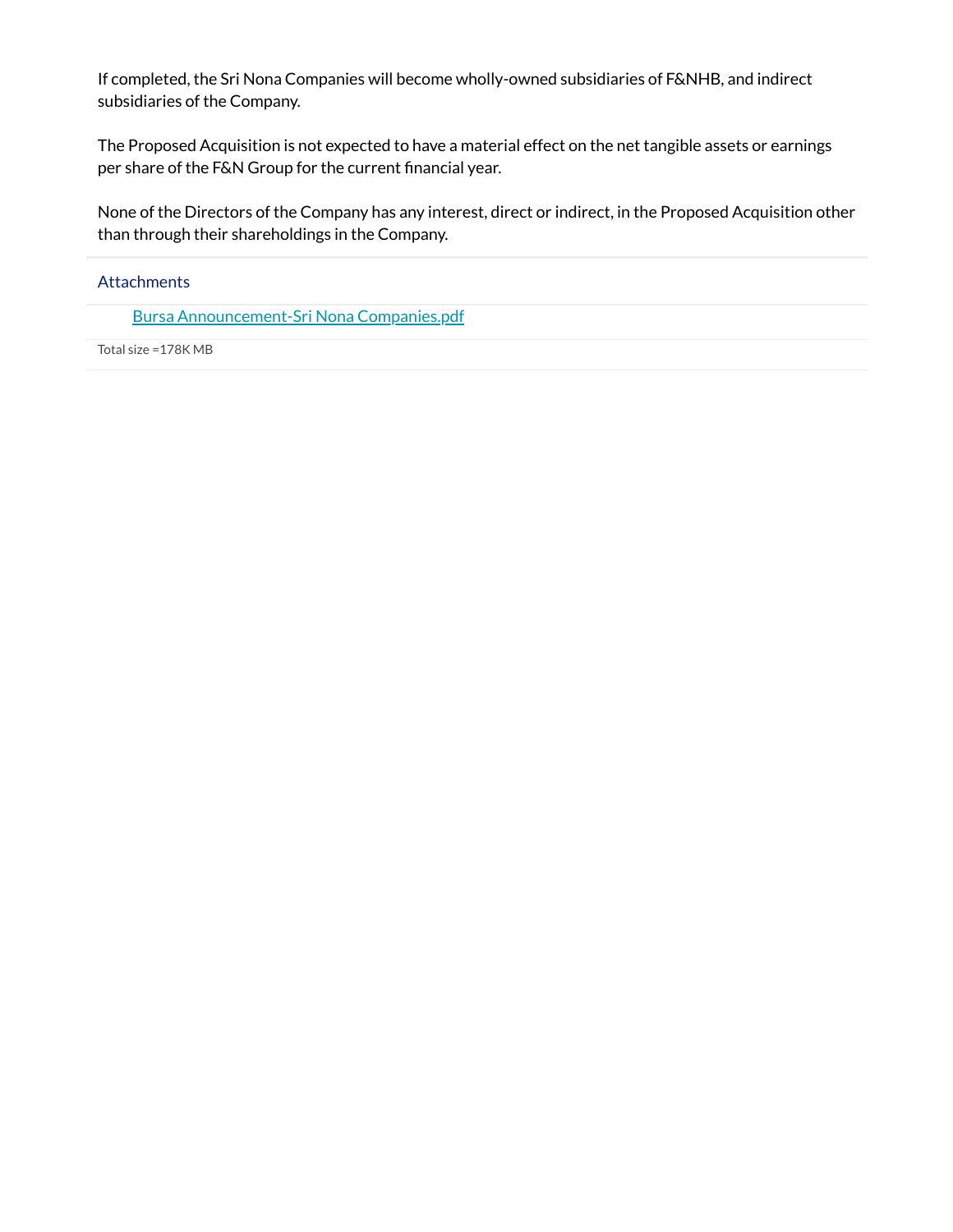If completed, the Sri Nona Companies will become wholly-owned subsidiaries of F&NHB, and indirect subsidiaries of the Company.

The Proposed Acquisition is not expected to have a material effect on the net tangible assets or earnings per share of the F&N Group for the current financial year.

None of the Directors of the Company has any interest, direct or indirect, in the Proposed Acquisition other than through their shareholdings in the Company.

# Attachments

Bursa [Announcement-Sri](https://links.sgx.com/1.0.0/corporate-announcements/2QHUS5S0797L2W3S/642431_Bursa%20Announcement-Sri%20Nona%20Companies.pdf) Nona Companies.pdf

Total size =178K MB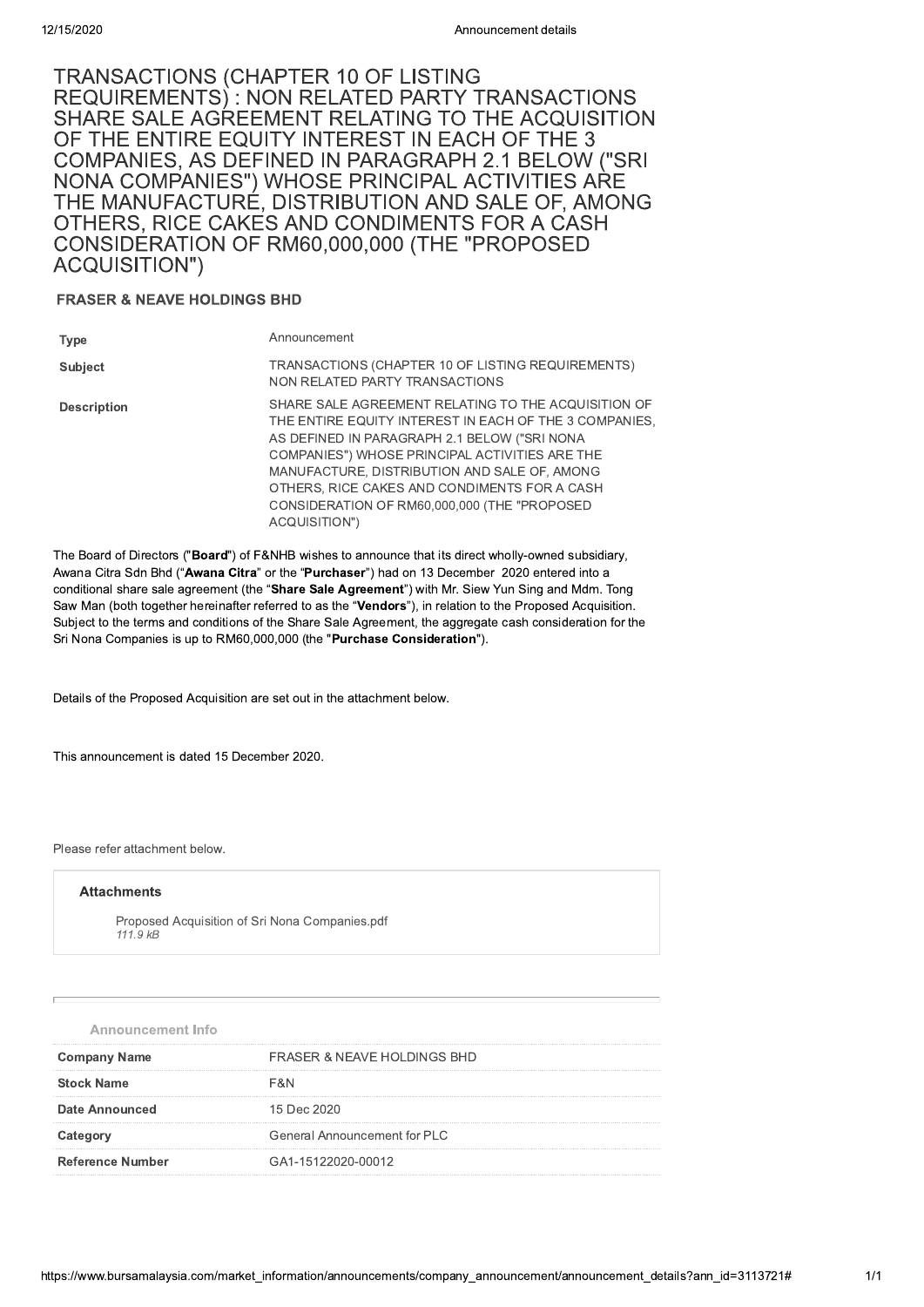# <sup>42/15/2020</sup><br>
TRANSACTIONS (CHAPTER 10 OF LISTING<br>
REQUIREMENTS) : NON RELATED PARTY TRANSACTIONS<br>
SHARE SALE AGREEMENT RELATING TO THE ACQUISITION<br>
OF THE ENTIRE EQUITY INTEREST IN EACH OF THE 3<br>
COMPANIES, AS DEFINED IN 24187020<br>
TRANSACTIONS (CHAPTER 10 OF LISTING<br>
REQUIREMENTS) : NON RELATED PARTY TRANSACTIONS<br>
SHARE SALE AGREEMENT RELATING TO THE ACQUISITION<br>
OF THE ENTIRE EQUIRY INTEREST IN EACH OF THE 3<br>
NEW COMPANIES, AS DEFINED IN

# FRASER & NEAVE HOLDINGS BHD

| ACQUISITION")                                                                                                                                                                                                                                                                                                                                                                                                                                                                                                                                                                                                                                                    | CONSIDERATION OF RIMOU, 000, 000 THE FROFOSED                                                                                                                                                                                                                                                                                                                                    |  |
|------------------------------------------------------------------------------------------------------------------------------------------------------------------------------------------------------------------------------------------------------------------------------------------------------------------------------------------------------------------------------------------------------------------------------------------------------------------------------------------------------------------------------------------------------------------------------------------------------------------------------------------------------------------|----------------------------------------------------------------------------------------------------------------------------------------------------------------------------------------------------------------------------------------------------------------------------------------------------------------------------------------------------------------------------------|--|
| <b>FRASER &amp; NEAVE HOLDINGS BHD</b>                                                                                                                                                                                                                                                                                                                                                                                                                                                                                                                                                                                                                           |                                                                                                                                                                                                                                                                                                                                                                                  |  |
| <b>Type</b>                                                                                                                                                                                                                                                                                                                                                                                                                                                                                                                                                                                                                                                      | Announcement                                                                                                                                                                                                                                                                                                                                                                     |  |
| <b>Subject</b>                                                                                                                                                                                                                                                                                                                                                                                                                                                                                                                                                                                                                                                   | TRANSACTIONS (CHAPTER 10 OF LISTING REQUIREMENTS)<br>NON RELATED PARTY TRANSACTIONS                                                                                                                                                                                                                                                                                              |  |
| <b>Description</b>                                                                                                                                                                                                                                                                                                                                                                                                                                                                                                                                                                                                                                               | SHARE SALE AGREEMENT RELATING TO THE ACQUISITION OF<br>THE ENTIRE EQUITY INTEREST IN EACH OF THE 3 COMPANIES.<br>AS DEFINED IN PARAGRAPH 2.1 BELOW ("SRI NONA<br>COMPANIES") WHOSE PRINCIPAL ACTIVITIES ARE THE<br>MANUFACTURE, DISTRIBUTION AND SALE OF, AMONG<br>OTHERS, RICE CAKES AND CONDIMENTS FOR A CASH<br>CONSIDERATION OF RM60,000,000 (THE "PROPOSED<br>ACQUISITION") |  |
| The Board of Directors ("Board") of F&NHB wishes to announce that its direct wholly-owned subsidiary,<br>Awana Citra Sdn Bhd (" <b>Awana Citra</b> " or the " <b>Purchaser</b> ") had on 13 December 2020 entered into a<br>conditional share sale agreement (the " <b>Share Sale Agreement</b> ") with Mr. Siew Yun Sing and Mdm. Tong<br>Saw Man (both together hereinafter referred to as the " <b>Vendors</b> "), in relation to the Proposed Acquisition.<br>Subject to the terms and conditions of the Share Sale Agreement, the aggregate cash consideration for the<br>Sri Nona Companies is up to RM60,000,000 (the " <b>Purchase Consideration</b> "). |                                                                                                                                                                                                                                                                                                                                                                                  |  |

The Board of Directors ("**Board**") of F&NHB wishes to announce that its direct wholly-owned subsidiary, Awana Citra San Bhd ("**Awana Citra**" or the "**Purchaser**") had on 13 December 2020 entered into a conditional snare sale agreement (the "**Snare Sale Agreement**") with Mr. Slew Yun Sing and Mdm. Tong Saw Man (both together hereinalter referred to as the "**vendors**"), in relation to the Proposed Acquisition.  $S$ ubject to the terms and conditions of the Share Sale Agreement, the aggregate cash consideration for the  $\overline{S}$ ACQUISITION")<br>
The Board of Directors ("**Board**") of F&NHB wishes to announce that its direct w<br>
Awana Citra Sdn Bhd ("**Awana Citra**" or the "**Purchaser**") had on 13 December<br>
conditional share sale agreement (the "**Share** 

Details of the Proposed Acquisition are set out in the attachment below.

This announcement is dated 15 December 2020.

Please refer attachment below.

#### **Attachments**

Proposed Acquisition of Sri Nona Companies.pdf chment below.<br> **nts**<br>
bsed Acquisition of Sri Nona Companies.pdf<br> *kB*<br>
cement Info  $111.9KB$ 

| $111.5 \, \text{ND}$     |                                     |
|--------------------------|-------------------------------------|
|                          |                                     |
|                          |                                     |
|                          |                                     |
| <b>Announcement Info</b> |                                     |
| <b>Company Name</b>      | FRASER & NEAVE HOLDINGS BHD         |
| <b>Stock Name</b>        | F&N                                 |
| <b>Date Announced</b>    | 15 Dec 2020                         |
| Category                 | <b>General Announcement for PLC</b> |
| <b>Reference Number</b>  | GA1-15122020-00012                  |
|                          |                                     |
|                          |                                     |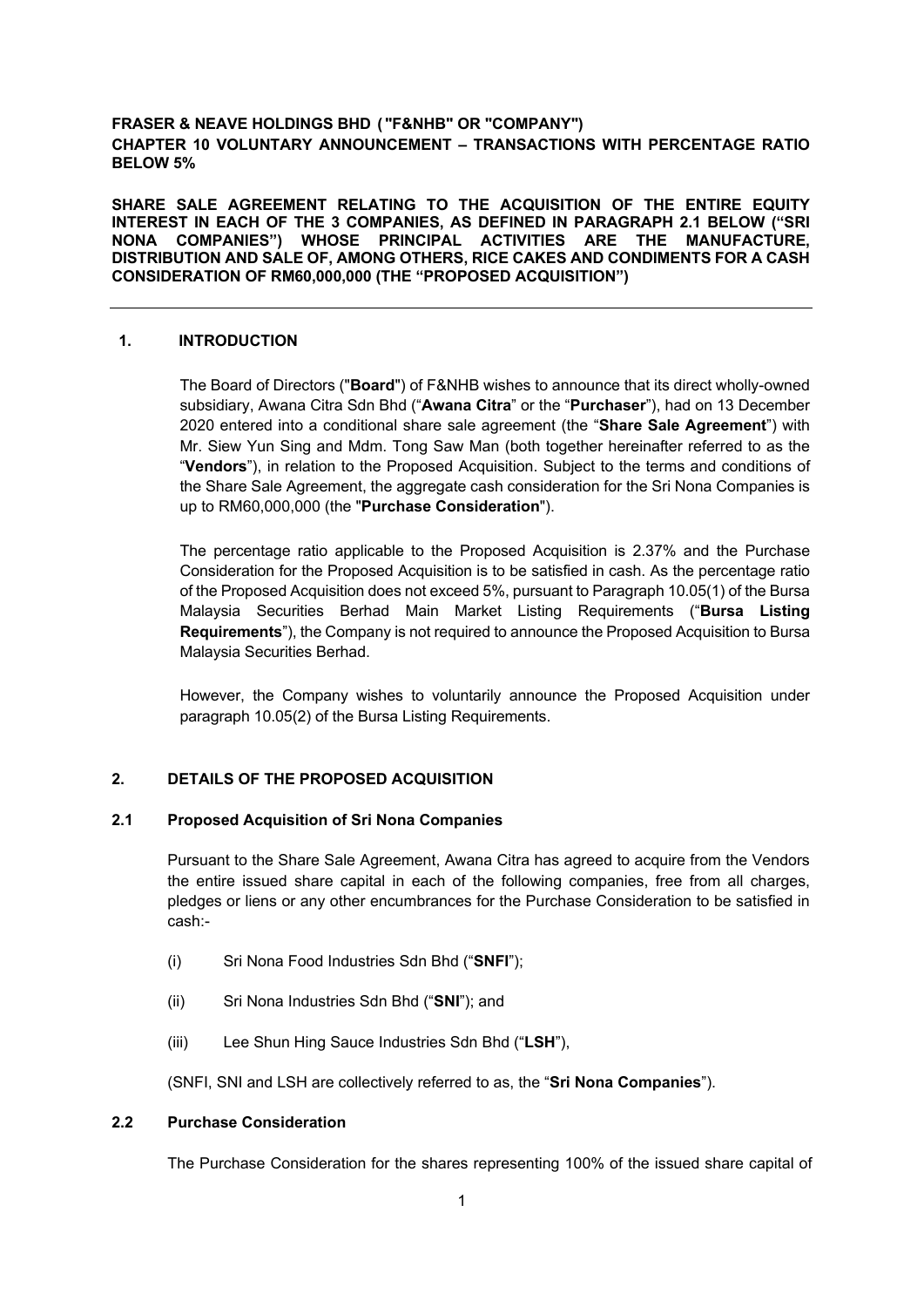# **FRASER & NEAVE HOLDINGS BHD ( "F&NHB" OR "COMPANY") CHAPTER 10 VOLUNTARY ANNOUNCEMENT – TRANSACTIONS WITH PERCENTAGE RATIO BELOW 5%**

**SHARE SALE AGREEMENT RELATING TO THE ACQUISITION OF THE ENTIRE EQUITY INTEREST IN EACH OF THE 3 COMPANIES, AS DEFINED IN PARAGRAPH 2.1 BELOW ("SRI NONA COMPANIES") WHOSE PRINCIPAL ACTIVITIES ARE THE MANUFACTURE, DISTRIBUTION AND SALE OF, AMONG OTHERS, RICE CAKES AND CONDIMENTS FOR A CASH CONSIDERATION OF RM60,000,000 (THE "PROPOSED ACQUISITION")** 

# **1. INTRODUCTION**

The Board of Directors ("**Board**") of F&NHB wishes to announce that its direct wholly-owned subsidiary, Awana Citra Sdn Bhd ("**Awana Citra**" or the "**Purchaser**"), had on 13 December 2020 entered into a conditional share sale agreement (the "**Share Sale Agreement**") with Mr. Siew Yun Sing and Mdm. Tong Saw Man (both together hereinafter referred to as the "**Vendors**"), in relation to the Proposed Acquisition. Subject to the terms and conditions of the Share Sale Agreement, the aggregate cash consideration for the Sri Nona Companies is up to RM60,000,000 (the "**Purchase Consideration**").

The percentage ratio applicable to the Proposed Acquisition is 2.37% and the Purchase Consideration for the Proposed Acquisition is to be satisfied in cash. As the percentage ratio of the Proposed Acquisition does not exceed 5%, pursuant to Paragraph 10.05(1) of the Bursa Malaysia Securities Berhad Main Market Listing Requirements ("**Bursa Listing Requirements**"), the Company is not required to announce the Proposed Acquisition to Bursa Malaysia Securities Berhad.

However, the Company wishes to voluntarily announce the Proposed Acquisition under paragraph 10.05(2) of the Bursa Listing Requirements.

# **2. DETAILS OF THE PROPOSED ACQUISITION**

# **2.1 Proposed Acquisition of Sri Nona Companies**

Pursuant to the Share Sale Agreement, Awana Citra has agreed to acquire from the Vendors the entire issued share capital in each of the following companies, free from all charges, pledges or liens or any other encumbrances for the Purchase Consideration to be satisfied in cash:-

- (i) Sri Nona Food Industries Sdn Bhd ("**SNFI**");
- (ii) Sri Nona Industries Sdn Bhd ("**SNI**"); and
- (iii) Lee Shun Hing Sauce Industries Sdn Bhd ("**LSH**"),

(SNFI, SNI and LSH are collectively referred to as, the "**Sri Nona Companies**").

# **2.2 Purchase Consideration**

The Purchase Consideration for the shares representing 100% of the issued share capital of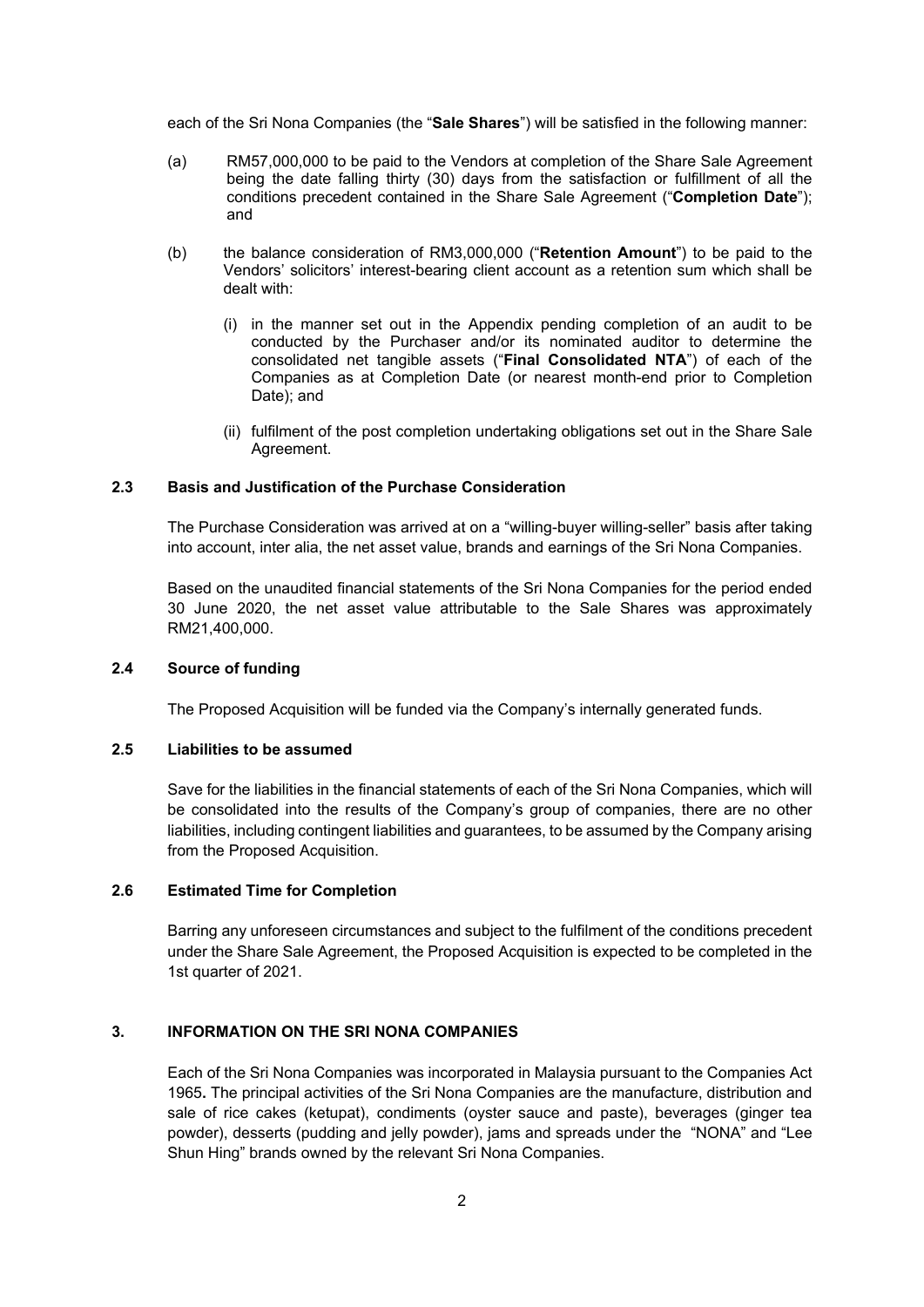each of the Sri Nona Companies (the "**Sale Shares**") will be satisfied in the following manner:

- (a) RM57,000,000 to be paid to the Vendors at completion of the Share Sale Agreement being the date falling thirty (30) days from the satisfaction or fulfillment of all the conditions precedent contained in the Share Sale Agreement ("**Completion Date**"); and
- (b) the balance consideration of RM3,000,000 ("**Retention Amount**") to be paid to the Vendors' solicitors' interest-bearing client account as a retention sum which shall be dealt with:
	- (i) in the manner set out in the Appendix pending completion of an audit to be conducted by the Purchaser and/or its nominated auditor to determine the consolidated net tangible assets ("**Final Consolidated NTA**") of each of the Companies as at Completion Date (or nearest month-end prior to Completion Date); and
	- (ii) fulfilment of the post completion undertaking obligations set out in the Share Sale Agreement.

# **2.3 Basis and Justification of the Purchase Consideration**

The Purchase Consideration was arrived at on a "willing-buyer willing-seller" basis after taking into account, inter alia, the net asset value, brands and earnings of the Sri Nona Companies.

Based on the unaudited financial statements of the Sri Nona Companies for the period ended 30 June 2020, the net asset value attributable to the Sale Shares was approximately RM21,400,000.

## **2.4 Source of funding**

The Proposed Acquisition will be funded via the Company's internally generated funds.

#### **2.5 Liabilities to be assumed**

Save for the liabilities in the financial statements of each of the Sri Nona Companies, which will be consolidated into the results of the Company's group of companies, there are no other liabilities, including contingent liabilities and guarantees, to be assumed by the Company arising from the Proposed Acquisition.

# **2.6 Estimated Time for Completion**

Barring any unforeseen circumstances and subject to the fulfilment of the conditions precedent under the Share Sale Agreement, the Proposed Acquisition is expected to be completed in the 1st quarter of 2021.

# **3. INFORMATION ON THE SRI NONA COMPANIES**

Each of the Sri Nona Companies was incorporated in Malaysia pursuant to the Companies Act 1965**.** The principal activities of the Sri Nona Companies are the manufacture, distribution and sale of rice cakes (ketupat), condiments (oyster sauce and paste), beverages (ginger tea powder), desserts (pudding and jelly powder), jams and spreads under the "NONA" and "Lee Shun Hing" brands owned by the relevant Sri Nona Companies.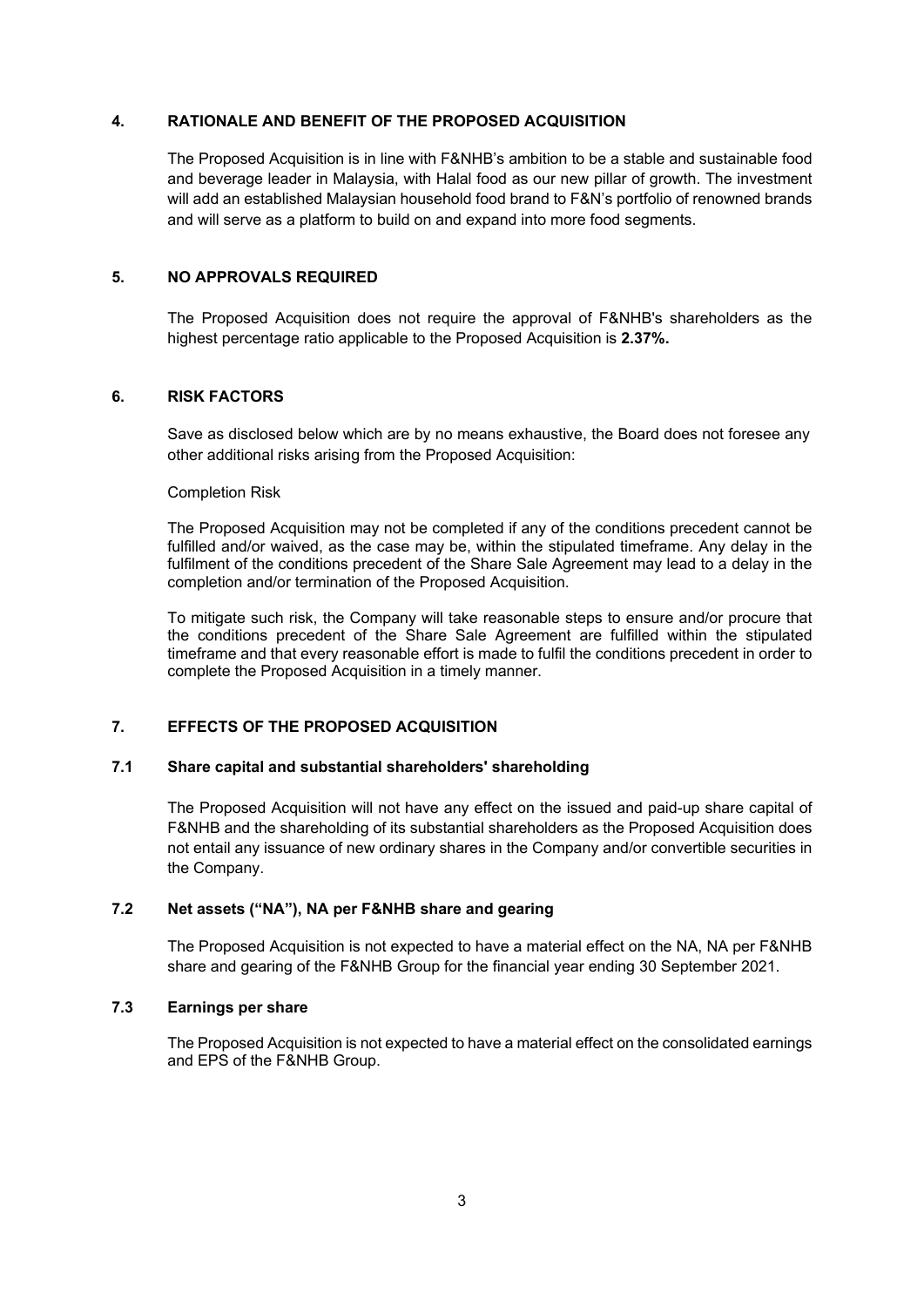# **4. RATIONALE AND BENEFIT OF THE PROPOSED ACQUISITION**

The Proposed Acquisition is in line with F&NHB's ambition to be a stable and sustainable food and beverage leader in Malaysia, with Halal food as our new pillar of growth. The investment will add an established Malaysian household food brand to F&N's portfolio of renowned brands and will serve as a platform to build on and expand into more food segments.

# **5. NO APPROVALS REQUIRED**

The Proposed Acquisition does not require the approval of F&NHB's shareholders as the highest percentage ratio applicable to the Proposed Acquisition is **2.37%.**

# **6. RISK FACTORS**

Save as disclosed below which are by no means exhaustive, the Board does not foresee any other additional risks arising from the Proposed Acquisition:

## Completion Risk

The Proposed Acquisition may not be completed if any of the conditions precedent cannot be fulfilled and/or waived, as the case may be, within the stipulated timeframe. Any delay in the fulfilment of the conditions precedent of the Share Sale Agreement may lead to a delay in the completion and/or termination of the Proposed Acquisition.

To mitigate such risk, the Company will take reasonable steps to ensure and/or procure that the conditions precedent of the Share Sale Agreement are fulfilled within the stipulated timeframe and that every reasonable effort is made to fulfil the conditions precedent in order to complete the Proposed Acquisition in a timely manner.

# **7. EFFECTS OF THE PROPOSED ACQUISITION**

## **7.1 Share capital and substantial shareholders' shareholding**

The Proposed Acquisition will not have any effect on the issued and paid-up share capital of F&NHB and the shareholding of its substantial shareholders as the Proposed Acquisition does not entail any issuance of new ordinary shares in the Company and/or convertible securities in the Company.

# **7.2 Net assets ("NA"), NA per F&NHB share and gearing**

The Proposed Acquisition is not expected to have a material effect on the NA, NA per F&NHB share and gearing of the F&NHB Group for the financial year ending 30 September 2021.

## **7.3 Earnings per share**

The Proposed Acquisition is not expected to have a material effect on the consolidated earnings and EPS of the F&NHB Group.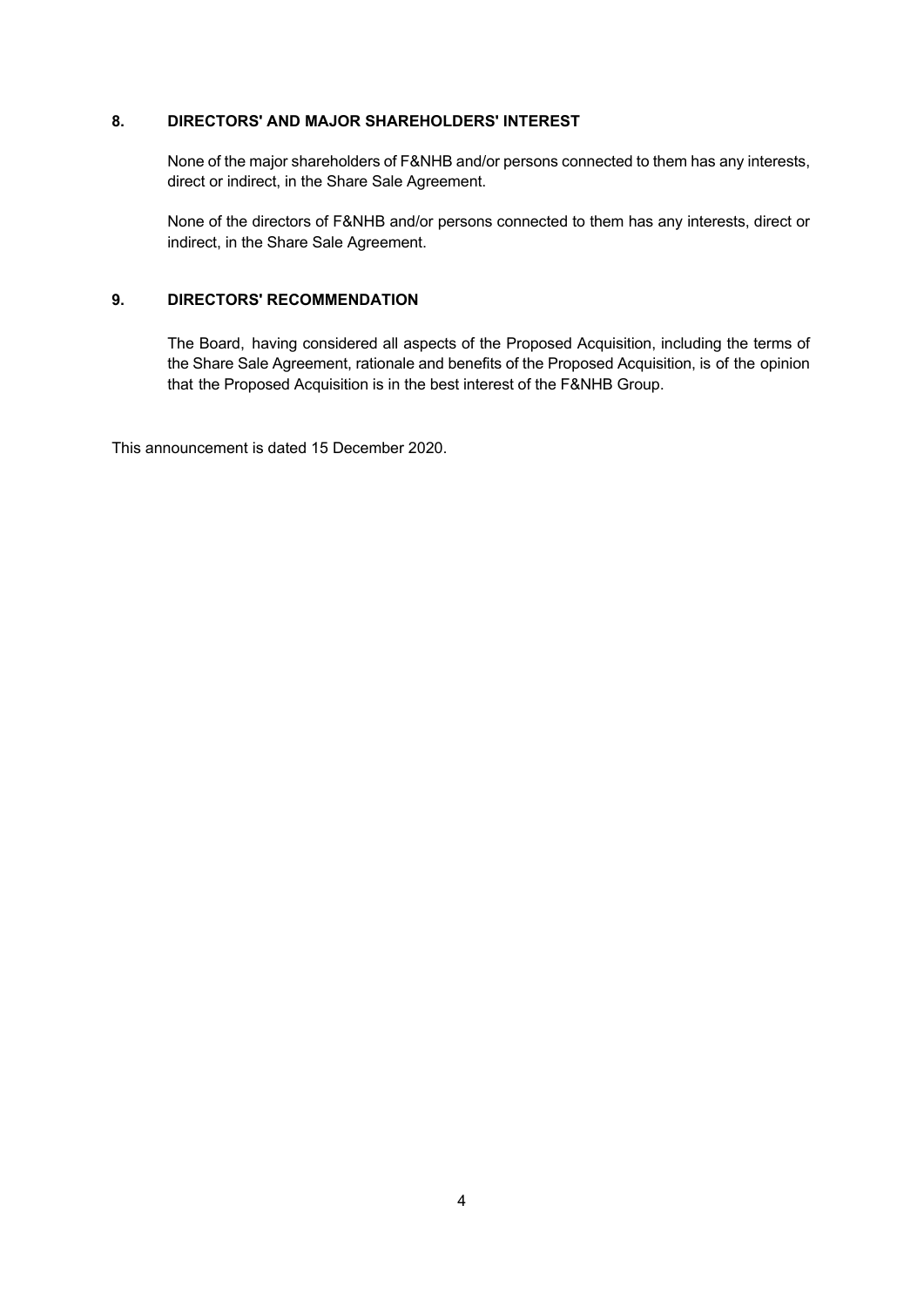# **8. DIRECTORS' AND MAJOR SHAREHOLDERS' INTEREST**

None of the major shareholders of F&NHB and/or persons connected to them has any interests, direct or indirect, in the Share Sale Agreement.

None of the directors of F&NHB and/or persons connected to them has any interests, direct or indirect, in the Share Sale Agreement.

# **9. DIRECTORS' RECOMMENDATION**

The Board, having considered all aspects of the Proposed Acquisition, including the terms of the Share Sale Agreement, rationale and benefits of the Proposed Acquisition, is of the opinion that the Proposed Acquisition is in the best interest of the F&NHB Group.

This announcement is dated 15 December 2020.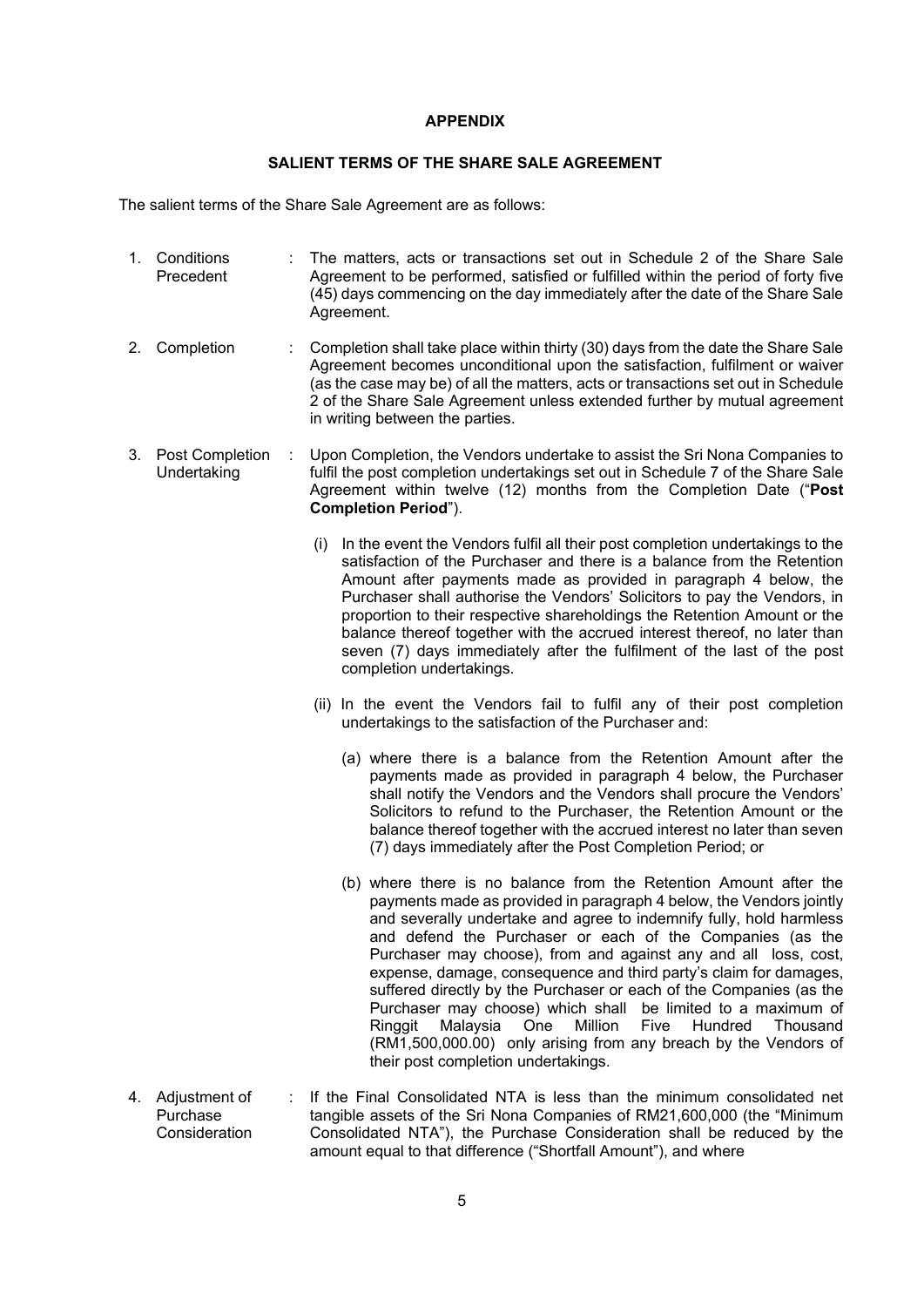## **APPENDIX**

# **SALIENT TERMS OF THE SHARE SALE AGREEMENT**

The salient terms of the Share Sale Agreement are as follows:

- 1. Conditions Precedent : The matters, acts or transactions set out in Schedule 2 of the Share Sale Agreement to be performed, satisfied or fulfilled within the period of forty five (45) days commencing on the day immediately after the date of the Share Sale Agreement.
- 2. Completion : Completion shall take place within thirty (30) days from the date the Share Sale Agreement becomes unconditional upon the satisfaction, fulfilment or waiver (as the case may be) of all the matters, acts or transactions set out in Schedule 2 of the Share Sale Agreement unless extended further by mutual agreement in writing between the parties.
- 3. Post Completion Undertaking : Upon Completion, the Vendors undertake to assist the Sri Nona Companies to fulfil the post completion undertakings set out in Schedule 7 of the Share Sale Agreement within twelve (12) months from the Completion Date ("**Post Completion Period**").
	- (i) In the event the Vendors fulfil all their post completion undertakings to the satisfaction of the Purchaser and there is a balance from the Retention Amount after payments made as provided in paragraph 4 below, the Purchaser shall authorise the Vendors' Solicitors to pay the Vendors, in proportion to their respective shareholdings the Retention Amount or the balance thereof together with the accrued interest thereof, no later than seven (7) days immediately after the fulfilment of the last of the post completion undertakings.
	- (ii) In the event the Vendors fail to fulfil any of their post completion undertakings to the satisfaction of the Purchaser and:
		- (a) where there is a balance from the Retention Amount after the payments made as provided in paragraph 4 below, the Purchaser shall notify the Vendors and the Vendors shall procure the Vendors' Solicitors to refund to the Purchaser, the Retention Amount or the balance thereof together with the accrued interest no later than seven (7) days immediately after the Post Completion Period; or
		- (b) where there is no balance from the Retention Amount after the payments made as provided in paragraph 4 below, the Vendors jointly and severally undertake and agree to indemnify fully, hold harmless and defend the Purchaser or each of the Companies (as the Purchaser may choose), from and against any and all loss, cost, expense, damage, consequence and third party's claim for damages, suffered directly by the Purchaser or each of the Companies (as the Purchaser may choose) which shall be limited to a maximum of Ringgit Malaysia One Million Five Hundred Thousand (RM1,500,000.00) only arising from any breach by the Vendors of their post completion undertakings.
- 4. Adjustment of Purchase **Consideration** If the Final Consolidated NTA is less than the minimum consolidated net tangible assets of the Sri Nona Companies of RM21,600,000 (the "Minimum Consolidated NTA"), the Purchase Consideration shall be reduced by the amount equal to that difference ("Shortfall Amount"), and where